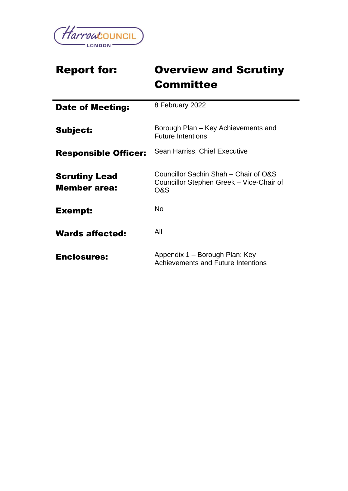

# Report for: Overview and Scrutiny **Committee**

| <b>Date of Meeting:</b>                     | 8 February 2022                                                                          |
|---------------------------------------------|------------------------------------------------------------------------------------------|
| <b>Subject:</b>                             | Borough Plan – Key Achievements and<br><b>Future Intentions</b>                          |
| <b>Responsible Officer:</b>                 | Sean Harriss, Chief Executive                                                            |
| <b>Scrutiny Lead</b><br><b>Member</b> area: | Councillor Sachin Shah – Chair of O&S<br>Councillor Stephen Greek - Vice-Chair of<br>O&S |
| Exempt:                                     | No.                                                                                      |
| <b>Wards affected:</b>                      | All                                                                                      |
| <b>Enclosures:</b>                          | Appendix 1 – Borough Plan: Key<br>Achievements and Future Intentions                     |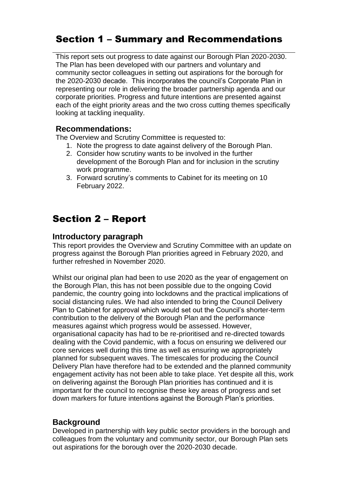## Section 1 – Summary and Recommendations

This report sets out progress to date against our Borough Plan 2020-2030. The Plan has been developed with our partners and voluntary and community sector colleagues in setting out aspirations for the borough for the 2020-2030 decade. This incorporates the council's Corporate Plan in representing our role in delivering the broader partnership agenda and our corporate priorities. Progress and future intentions are presented against each of the eight priority areas and the two cross cutting themes specifically looking at tackling inequality.

### **Recommendations:**

The Overview and Scrutiny Committee is requested to:

- 1. Note the progress to date against delivery of the Borough Plan.
- 2. Consider how scrutiny wants to be involved in the further development of the Borough Plan and for inclusion in the scrutiny work programme.
- 3. Forward scrutiny's comments to Cabinet for its meeting on 10 February 2022.

## Section 2 – Report

### **Introductory paragraph**

This report provides the Overview and Scrutiny Committee with an update on progress against the Borough Plan priorities agreed in February 2020, and further refreshed in November 2020.

Whilst our original plan had been to use 2020 as the year of engagement on the Borough Plan, this has not been possible due to the ongoing Covid pandemic, the country going into lockdowns and the practical implications of social distancing rules. We had also intended to bring the Council Delivery Plan to Cabinet for approval which would set out the Council's shorter-term contribution to the delivery of the Borough Plan and the performance measures against which progress would be assessed. However, organisational capacity has had to be re-prioritised and re-directed towards dealing with the Covid pandemic, with a focus on ensuring we delivered our core services well during this time as well as ensuring we appropriately planned for subsequent waves. The timescales for producing the Council Delivery Plan have therefore had to be extended and the planned community engagement activity has not been able to take place. Yet despite all this, work on delivering against the Borough Plan priorities has continued and it is important for the council to recognise these key areas of progress and set down markers for future intentions against the Borough Plan's priorities.

## **Background**

Developed in partnership with key public sector providers in the borough and colleagues from the voluntary and community sector, our Borough Plan sets out aspirations for the borough over the 2020-2030 decade.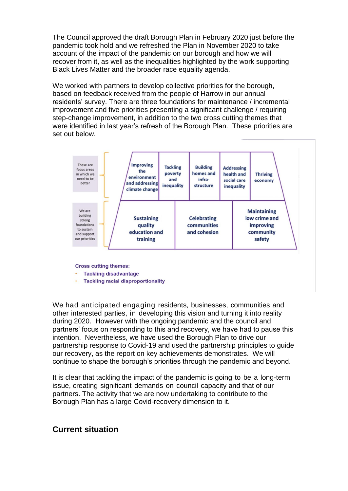The Council approved the draft Borough Plan in February 2020 just before the pandemic took hold and we refreshed the Plan in November 2020 to take account of the impact of the pandemic on our borough and how we will recover from it, as well as the inequalities highlighted by the work supporting Black Lives Matter and the broader race equality agenda.

We worked with partners to develop collective priorities for the borough, based on feedback received from the people of Harrow in our annual residents' survey. There are three foundations for maintenance / incremental improvement and five priorities presenting a significant challenge / requiring step-change improvement, in addition to the two cross cutting themes that were identified in last year's refresh of the Borough Plan. These priorities are set out below.



**Cross cutting themes:** 

- **Tackling disadvantage**
- **Tackling racial disproportionality**

We had anticipated engaging residents, businesses, communities and other interested parties, in developing this vision and turning it into reality during 2020. However with the ongoing pandemic and the council and partners' focus on responding to this and recovery, we have had to pause this intention. Nevertheless, we have used the Borough Plan to drive our partnership response to Covid-19 and used the partnership principles to guide our recovery, as the report on key achievements demonstrates. We will continue to shape the borough's priorities through the pandemic and beyond.

It is clear that tackling the impact of the pandemic is going to be a long-term issue, creating significant demands on council capacity and that of our partners. The activity that we are now undertaking to contribute to the Borough Plan has a large Covid-recovery dimension to it.

#### **Current situation**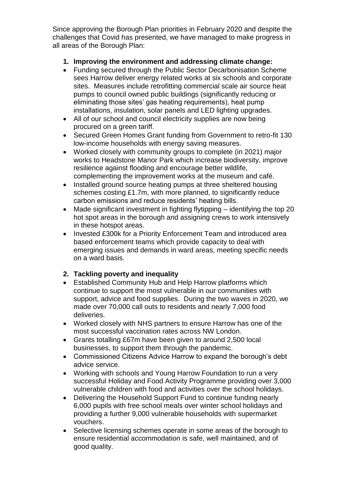Since approving the Borough Plan priorities in February 2020 and despite the challenges that Covid has presented, we have managed to make progress in all areas of the Borough Plan:

#### **1. Improving the environment and addressing climate change:**

- Funding secured through the Public Sector Decarbonisation Scheme sees Harrow deliver energy related works at six schools and corporate sites. Measures include retrofitting commercial scale air source heat pumps to council owned public buildings (significantly reducing or eliminating those sites' gas heating requirements), heat pump installations, insulation, solar panels and LED lighting upgrades.
- All of our school and council electricity supplies are now being procured on a green tariff.
- Secured Green Homes Grant funding from Government to retro-fit 130 low-income households with energy saving measures.
- Worked closely with community groups to complete (in 2021) major works to Headstone Manor Park which increase biodiversity, improve resilience against flooding and encourage better wildlife, complementing the improvement works at the museum and café.
- Installed ground source heating pumps at three sheltered housing schemes costing £1.7m, with more planned, to significantly reduce carbon emissions and reduce residents' heating bills.
- Made significant investment in fighting flytipping identifying the top 20 hot spot areas in the borough and assigning crews to work intensively in these hotspot areas.
- Invested £300k for a Priority Enforcement Team and introduced area based enforcement teams which provide capacity to deal with emerging issues and demands in ward areas, meeting specific needs on a ward basis.

#### **2. Tackling poverty and inequality**

- Established Community Hub and Help Harrow platforms which continue to support the most vulnerable in our communities with support, advice and food supplies. During the two waves in 2020, we made over 70,000 call outs to residents and nearly 7,000 food deliveries.
- Worked closely with NHS partners to ensure Harrow has one of the most successful vaccination rates across NW London.
- Grants totalling £67m have been given to around 2,500 local businesses, to support them through the pandemic.
- Commissioned Citizens Advice Harrow to expand the borough's debt advice service.
- Working with schools and Young Harrow Foundation to run a very successful Holiday and Food Activity Programme providing over 3,000 vulnerable children with food and activities over the school holidays.
- Delivering the Household Support Fund to continue funding nearly 6,000 pupils with free school meals over winter school holidays and providing a further 9,000 vulnerable households with supermarket vouchers.
- Selective licensing schemes operate in some areas of the borough to ensure residential accommodation is safe, well maintained, and of good quality.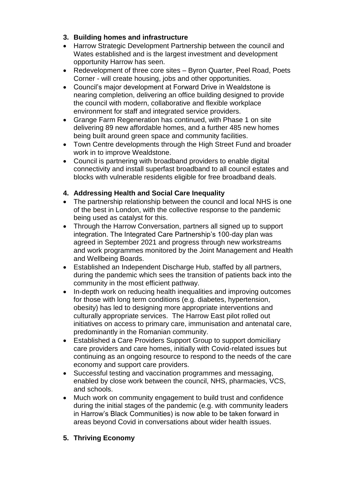- **3. Building homes and infrastructure**
- Harrow Strategic Development Partnership between the council and Wates established and is the largest investment and development opportunity Harrow has seen.
- Redevelopment of three core sites Byron Quarter, Peel Road, Poets Corner - will create housing, jobs and other opportunities.
- Council's major development at Forward Drive in Wealdstone is nearing completion, delivering an office building designed to provide the council with modern, collaborative and flexible workplace environment for staff and integrated service providers.
- Grange Farm Regeneration has continued, with Phase 1 on site delivering 89 new affordable homes, and a further 485 new homes being built around green space and community facilities.
- Town Centre developments through the High Street Fund and broader work in to improve Wealdstone.
- Council is partnering with broadband providers to enable digital connectivity and install superfast broadband to all council estates and blocks with vulnerable residents eligible for free broadband deals.

### **4. Addressing Health and Social Care Inequality**

- The partnership relationship between the council and local NHS is one of the best in London, with the collective response to the pandemic being used as catalyst for this.
- Through the Harrow Conversation, partners all signed up to support integration. The Integrated Care Partnership's 100-day plan was agreed in September 2021 and progress through new workstreams and work programmes monitored by the Joint Management and Health and Wellbeing Boards.
- Established an Independent Discharge Hub, staffed by all partners, during the pandemic which sees the transition of patients back into the community in the most efficient pathway.
- In-depth work on reducing health inequalities and improving outcomes for those with long term conditions (e.g. diabetes, hypertension, obesity) has led to designing more appropriate interventions and culturally appropriate services. The Harrow East pilot rolled out initiatives on access to primary care, immunisation and antenatal care, predominantly in the Romanian community.
- Established a Care Providers Support Group to support domiciliary care providers and care homes, initially with Covid-related issues but continuing as an ongoing resource to respond to the needs of the care economy and support care providers.
- Successful testing and vaccination programmes and messaging, enabled by close work between the council, NHS, pharmacies, VCS, and schools.
- Much work on community engagement to build trust and confidence during the initial stages of the pandemic (e.g. with community leaders in Harrow's Black Communities) is now able to be taken forward in areas beyond Covid in conversations about wider health issues.
- **5. Thriving Economy**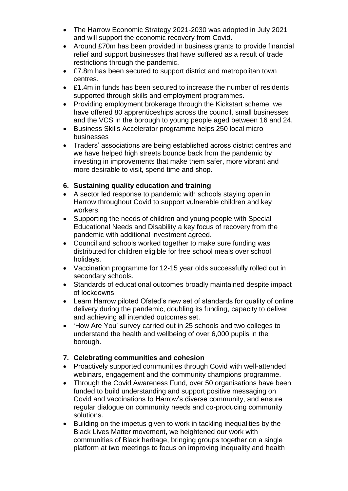- The Harrow Economic Strategy 2021-2030 was adopted in July 2021 and will support the economic recovery from Covid.
- Around £70m has been provided in business grants to provide financial relief and support businesses that have suffered as a result of trade restrictions through the pandemic.
- £7.8m has been secured to support district and metropolitan town centres.
- £1.4m in funds has been secured to increase the number of residents supported through skills and employment programmes.
- Providing employment brokerage through the Kickstart scheme, we have offered 80 apprenticeships across the council, small businesses and the VCS in the borough to young people aged between 16 and 24.
- Business Skills Accelerator programme helps 250 local micro businesses
- Traders' associations are being established across district centres and we have helped high streets bounce back from the pandemic by investing in improvements that make them safer, more vibrant and more desirable to visit, spend time and shop.

#### **6. Sustaining quality education and training**

- A sector led response to pandemic with schools staying open in Harrow throughout Covid to support vulnerable children and key workers.
- Supporting the needs of children and young people with Special Educational Needs and Disability a key focus of recovery from the pandemic with additional investment agreed.
- Council and schools worked together to make sure funding was distributed for children eligible for free school meals over school holidays.
- Vaccination programme for 12-15 year olds successfully rolled out in secondary schools.
- Standards of educational outcomes broadly maintained despite impact of lockdowns.
- Learn Harrow piloted Ofsted's new set of standards for quality of online delivery during the pandemic, doubling its funding, capacity to deliver and achieving all intended outcomes set.
- 'How Are You' survey carried out in 25 schools and two colleges to understand the health and wellbeing of over 6,000 pupils in the borough.
- **7. Celebrating communities and cohesion**
- Proactively supported communities through Covid with well-attended webinars, engagement and the community champions programme.
- Through the Covid Awareness Fund, over 50 organisations have been funded to build understanding and support positive messaging on Covid and vaccinations to Harrow's diverse community, and ensure regular dialogue on community needs and co-producing community solutions.
- Building on the impetus given to work in tackling inequalities by the Black Lives Matter movement, we heightened our work with communities of Black heritage, bringing groups together on a single platform at two meetings to focus on improving inequality and health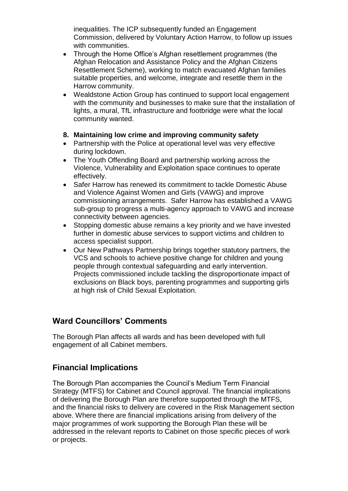inequalities. The ICP subsequently funded an Engagement Commission, delivered by Voluntary Action Harrow, to follow up issues with communities.

- Through the Home Office's Afghan resettlement programmes (the Afghan Relocation and Assistance Policy and the Afghan Citizens Resettlement Scheme), working to match evacuated Afghan families suitable properties, and welcome, integrate and resettle them in the Harrow community.
- Wealdstone Action Group has continued to support local engagement with the community and businesses to make sure that the installation of lights, a mural, TfL infrastructure and footbridge were what the local community wanted.

#### **8. Maintaining low crime and improving community safety**

- Partnership with the Police at operational level was very effective during lockdown.
- The Youth Offending Board and partnership working across the Violence, Vulnerability and Exploitation space continues to operate effectively.
- Safer Harrow has renewed its commitment to tackle Domestic Abuse and Violence Against Women and Girls (VAWG) and improve commissioning arrangements. Safer Harrow has established a VAWG sub-group to progress a multi-agency approach to VAWG and increase connectivity between agencies.
- Stopping domestic abuse remains a key priority and we have invested further in domestic abuse services to support victims and children to access specialist support.
- Our New Pathways Partnership brings together statutory partners, the VCS and schools to achieve positive change for children and young people through contextual safeguarding and early intervention. Projects commissioned include tackling the disproportionate impact of exclusions on Black boys, parenting programmes and supporting girls at high risk of Child Sexual Exploitation.

## **Ward Councillors' Comments**

The Borough Plan affects all wards and has been developed with full engagement of all Cabinet members.

## **Financial Implications**

The Borough Plan accompanies the Council's Medium Term Financial Strategy (MTFS) for Cabinet and Council approval. The financial implications of delivering the Borough Plan are therefore supported through the MTFS, and the financial risks to delivery are covered in the Risk Management section above. Where there are financial implications arising from delivery of the major programmes of work supporting the Borough Plan these will be addressed in the relevant reports to Cabinet on those specific pieces of work or projects.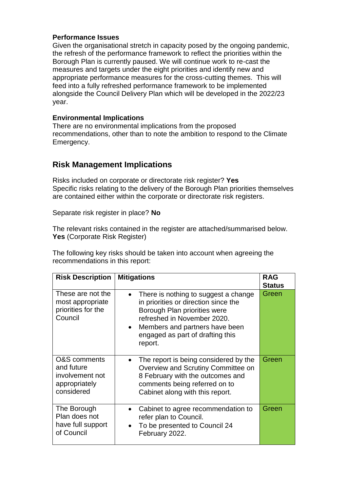#### **Performance Issues**

Given the organisational stretch in capacity posed by the ongoing pandemic, the refresh of the performance framework to reflect the priorities within the Borough Plan is currently paused. We will continue work to re-cast the measures and targets under the eight priorities and identify new and appropriate performance measures for the cross-cutting themes. This will feed into a fully refreshed performance framework to be implemented alongside the Council Delivery Plan which will be developed in the 2022/23 year.

#### **Environmental Implications**

There are no environmental implications from the proposed recommendations, other than to note the ambition to respond to the Climate Emergency.

#### **Risk Management Implications**

Risks included on corporate or directorate risk register? **Yes**  Specific risks relating to the delivery of the Borough Plan priorities themselves are contained either within the corporate or directorate risk registers.

Separate risk register in place? **No**

The relevant risks contained in the register are attached/summarised below. **Yes** (Corporate Risk Register)

The following key risks should be taken into account when agreeing the recommendations in this report:

| <b>Risk Description</b>                                                                 | <b>Mitigations</b>                                                                                                                                                                                                                        | <b>RAG</b><br><b>Status</b> |
|-----------------------------------------------------------------------------------------|-------------------------------------------------------------------------------------------------------------------------------------------------------------------------------------------------------------------------------------------|-----------------------------|
| These are not the<br>most appropriate<br>priorities for the<br>Council                  | There is nothing to suggest a change<br>in priorities or direction since the<br>Borough Plan priorities were<br>refreshed in November 2020.<br>Members and partners have been<br>$\bullet$<br>engaged as part of drafting this<br>report. | Green                       |
| <b>O&amp;S</b> comments<br>and future<br>involvement not<br>appropriately<br>considered | The report is being considered by the<br>Overview and Scrutiny Committee on<br>8 February with the outcomes and<br>comments being referred on to<br>Cabinet along with this report.                                                       | Green                       |
| The Borough<br>Plan does not<br>have full support<br>of Council                         | Cabinet to agree recommendation to<br>refer plan to Council.<br>To be presented to Council 24<br>February 2022.                                                                                                                           | Green                       |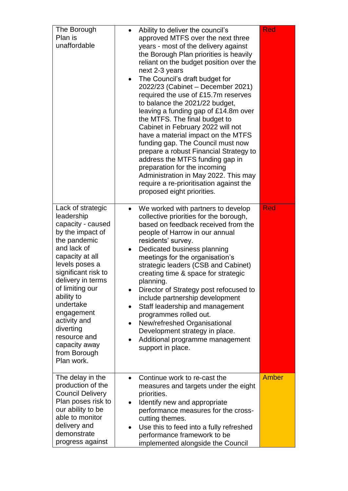| The Borough<br>Plan is<br>unaffordable                                                                                                                                                                                                                                                                                                           |                                                  | Ability to deliver the council's<br>approved MTFS over the next three<br>years - most of the delivery against<br>the Borough Plan priorities is heavily<br>reliant on the budget position over the<br>next 2-3 years<br>The Council's draft budget for<br>2022/23 (Cabinet - December 2021)<br>required the use of £15.7m reserves<br>to balance the 2021/22 budget,<br>leaving a funding gap of £14.8m over<br>the MTFS. The final budget to<br>Cabinet in February 2022 will not<br>have a material impact on the MTFS<br>funding gap. The Council must now<br>prepare a robust Financial Strategy to<br>address the MTFS funding gap in<br>preparation for the incoming<br>Administration in May 2022. This may<br>require a re-prioritisation against the<br>proposed eight priorities. | Red          |
|--------------------------------------------------------------------------------------------------------------------------------------------------------------------------------------------------------------------------------------------------------------------------------------------------------------------------------------------------|--------------------------------------------------|---------------------------------------------------------------------------------------------------------------------------------------------------------------------------------------------------------------------------------------------------------------------------------------------------------------------------------------------------------------------------------------------------------------------------------------------------------------------------------------------------------------------------------------------------------------------------------------------------------------------------------------------------------------------------------------------------------------------------------------------------------------------------------------------|--------------|
| Lack of strategic<br>leadership<br>capacity - caused<br>by the impact of<br>the pandemic<br>and lack of<br>capacity at all<br>levels poses a<br>significant risk to<br>delivery in terms<br>of limiting our<br>ability to<br>undertake<br>engagement<br>activity and<br>diverting<br>resource and<br>capacity away<br>from Borough<br>Plan work. | $\bullet$<br>$\bullet$<br>$\bullet$<br>$\bullet$ | We worked with partners to develop<br>collective priorities for the borough,<br>based on feedback received from the<br>people of Harrow in our annual<br>residents' survey.<br>Dedicated business planning<br>meetings for the organisation's<br>strategic leaders (CSB and Cabinet)<br>creating time & space for strategic<br>planning.<br>Director of Strategy post refocused to<br>include partnership development<br>Staff leadership and management<br>programmes rolled out.<br>New/refreshed Organisational<br>Development strategy in place.<br>Additional programme management<br>support in place.                                                                                                                                                                                | <b>Red</b>   |
| The delay in the<br>production of the<br><b>Council Delivery</b><br>Plan poses risk to<br>our ability to be<br>able to monitor<br>delivery and<br>demonstrate<br>progress against                                                                                                                                                                | $\bullet$<br>$\bullet$<br>$\bullet$              | Continue work to re-cast the<br>measures and targets under the eight<br>priorities.<br>Identify new and appropriate<br>performance measures for the cross-<br>cutting themes.<br>Use this to feed into a fully refreshed<br>performance framework to be<br>implemented alongside the Council                                                                                                                                                                                                                                                                                                                                                                                                                                                                                                | <b>Amber</b> |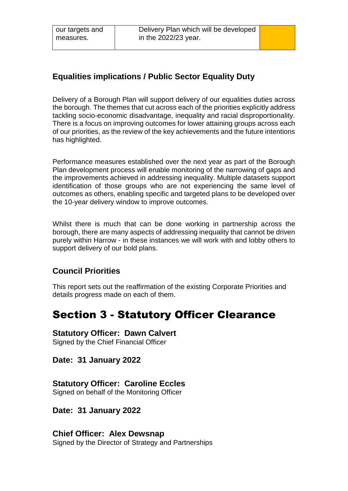## **Equalities implications / Public Sector Equality Duty**

Delivery of a Borough Plan will support delivery of our equalities duties across the borough. The themes that cut across each of the priorities explicitly address tackling socio-economic disadvantage, inequality and racial disproportionality. There is a focus on improving outcomes for lower attaining groups across each of our priorities, as the review of the key achievements and the future intentions has highlighted.

Performance measures established over the next year as part of the Borough Plan development process will enable monitoring of the narrowing of gaps and the improvements achieved in addressing inequality. Multiple datasets support identification of those groups who are not experiencing the same level of outcomes as others, enabling specific and targeted plans to be developed over the 10-year delivery window to improve outcomes.

Whilst there is much that can be done working in partnership across the borough, there are many aspects of addressing inequality that cannot be driven purely within Harrow - in these instances we will work with and lobby others to support delivery of our bold plans.

## **Council Priorities**

This report sets out the reaffirmation of the existing Corporate Priorities and details progress made on each of them.

## Section 3 - Statutory Officer Clearance

#### **Statutory Officer: Dawn Calvert**

Signed by the Chief Financial Officer

**Date: 31 January 2022**

### **Statutory Officer: Caroline Eccles**

Signed on behalf of the Monitoring Officer

### **Date: 31 January 2022**

**Chief Officer: Alex Dewsnap** Signed by the Director of Strategy and Partnerships